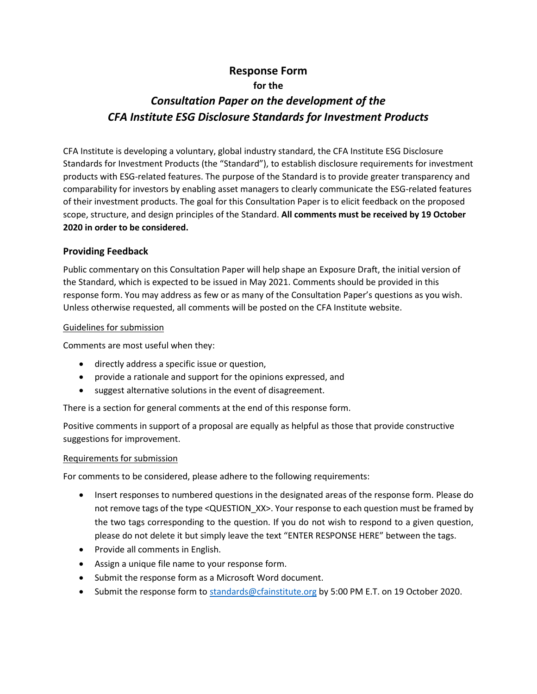# **Response Form**

# **for the**  *Consultation Paper on the development of the CFA Institute ESG Disclosure Standards for Investment Products*

CFA Institute is developing a voluntary, global industry standard, the CFA Institute ESG Disclosure Standards for Investment Products (the "Standard"), to establish disclosure requirements for investment products with ESG-related features. The purpose of the Standard is to provide greater transparency and comparability for investors by enabling asset managers to clearly communicate the ESG-related features of their investment products. The goal for this Consultation Paper is to elicit feedback on the proposed scope, structure, and design principles of the Standard. **All comments must be received by 19 October 2020 in order to be considered.**

### **Providing Feedback**

Public commentary on this Consultation Paper will help shape an Exposure Draft, the initial version of the Standard, which is expected to be issued in May 2021. Comments should be provided in this response form. You may address as few or as many of the Consultation Paper's questions as you wish. Unless otherwise requested, all comments will be posted on the CFA Institute website.

### Guidelines for submission

Comments are most useful when they:

- directly address a specific issue or question,
- provide a rationale and support for the opinions expressed, and
- suggest alternative solutions in the event of disagreement.

There is a section for general comments at the end of this response form.

Positive comments in support of a proposal are equally as helpful as those that provide constructive suggestions for improvement.

### Requirements for submission

For comments to be considered, please adhere to the following requirements:

- Insert responses to numbered questions in the designated areas of the response form. Please do not remove tags of the type <QUESTION XX>. Your response to each question must be framed by the two tags corresponding to the question. If you do not wish to respond to a given question, please do not delete it but simply leave the text "ENTER RESPONSE HERE" between the tags.
- Provide all comments in English.
- Assign a unique file name to your response form.
- Submit the response form as a Microsoft Word document.
- Submit the response form to [standards@cfainstitute.org](mailto:standards@cfainstitute.org) by 5:00 PM E.T. on 19 October 2020.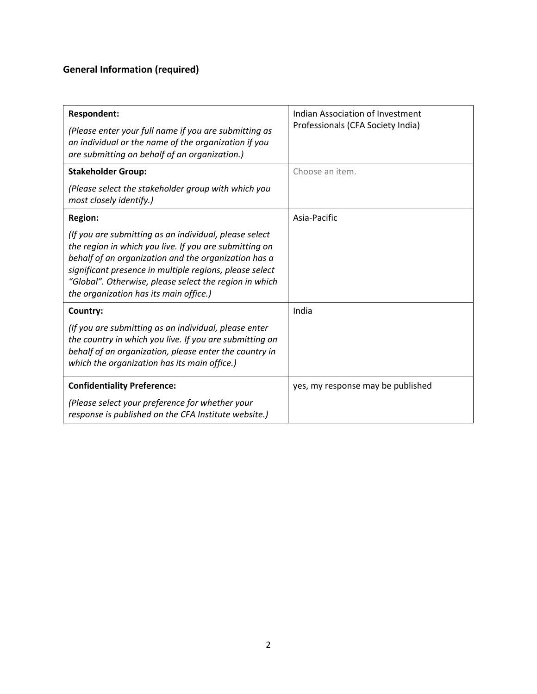# **General Information (required)**

| <b>Respondent:</b>                                                                                                                                                                                                                                                                                                                      | Indian Association of Investment<br>Professionals (CFA Society India) |
|-----------------------------------------------------------------------------------------------------------------------------------------------------------------------------------------------------------------------------------------------------------------------------------------------------------------------------------------|-----------------------------------------------------------------------|
| (Please enter your full name if you are submitting as<br>an individual or the name of the organization if you<br>are submitting on behalf of an organization.)                                                                                                                                                                          |                                                                       |
| <b>Stakeholder Group:</b>                                                                                                                                                                                                                                                                                                               | Choose an item.                                                       |
| (Please select the stakeholder group with which you<br>most closely identify.)                                                                                                                                                                                                                                                          |                                                                       |
| <b>Region:</b>                                                                                                                                                                                                                                                                                                                          | Asia-Pacific                                                          |
| (If you are submitting as an individual, please select<br>the region in which you live. If you are submitting on<br>behalf of an organization and the organization has a<br>significant presence in multiple regions, please select<br>"Global". Otherwise, please select the region in which<br>the organization has its main office.) |                                                                       |
| Country:                                                                                                                                                                                                                                                                                                                                | India                                                                 |
| (If you are submitting as an individual, please enter<br>the country in which you live. If you are submitting on<br>behalf of an organization, please enter the country in<br>which the organization has its main office.)                                                                                                              |                                                                       |
| <b>Confidentiality Preference:</b>                                                                                                                                                                                                                                                                                                      | yes, my response may be published                                     |
| (Please select your preference for whether your<br>response is published on the CFA Institute website.)                                                                                                                                                                                                                                 |                                                                       |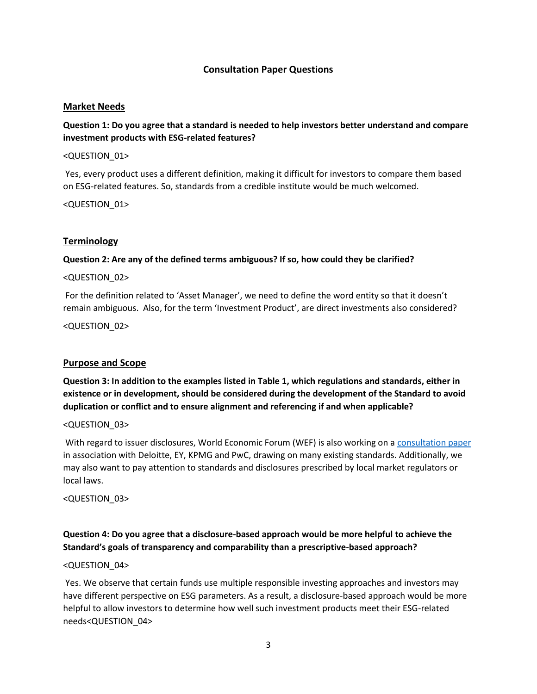### **Consultation Paper Questions**

### **Market Needs**

# **Question 1: Do you agree that a standard is needed to help investors better understand and compare investment products with ESG-related features?**

### <QUESTION\_01>

Yes, every product uses a different definition, making it difficult for investors to compare them based on ESG-related features. So, standards from a credible institute would be much welcomed.

<QUESTION\_01>

### **Terminology**

### **Question 2: Are any of the defined terms ambiguous? If so, how could they be clarified?**

### <QUESTION\_02>

For the definition related to 'Asset Manager', we need to define the word entity so that it doesn't remain ambiguous. Also, for the term 'Investment Product', are direct investments also considered?

<QUESTION\_02>

### **Purpose and Scope**

**Question 3: In addition to the examples listed in Table 1, which regulations and standards, either in existence or in development, should be considered during the development of the Standard to avoid duplication or conflict and to ensure alignment and referencing if and when applicable?**

#### <QUESTION\_03>

With regard to issuer disclosures, World Economic Forum (WEF) is also working on a [consultation paper](http://www3.weforum.org/docs/WEF_IBC_ESG_Metrics_Discussion_Paper.pdf) in association with Deloitte, EY, KPMG and PwC, drawing on many existing standards. Additionally, we may also want to pay attention to standards and disclosures prescribed by local market regulators or local laws.

#### <QUESTION\_03>

# **Question 4: Do you agree that a disclosure-based approach would be more helpful to achieve the Standard's goals of transparency and comparability than a prescriptive-based approach?**

#### <QUESTION\_04>

Yes. We observe that certain funds use multiple responsible investing approaches and investors may have different perspective on ESG parameters. As a result, a disclosure-based approach would be more helpful to allow investors to determine how well such investment products meet their ESG-related needs<QUESTION\_04>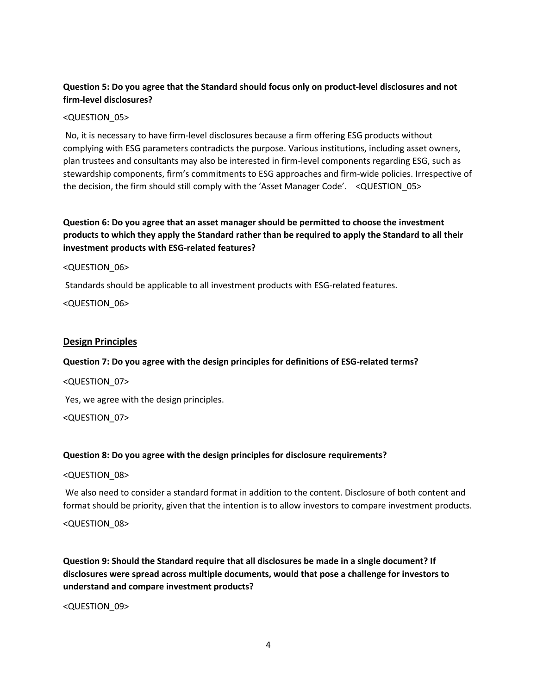# **Question 5: Do you agree that the Standard should focus only on product-level disclosures and not firm-level disclosures?**

### <QUESTION\_05>

No, it is necessary to have firm-level disclosures because a firm offering ESG products without complying with ESG parameters contradicts the purpose. Various institutions, including asset owners, plan trustees and consultants may also be interested in firm-level components regarding ESG, such as stewardship components, firm's commitments to ESG approaches and firm-wide policies. Irrespective of the decision, the firm should still comply with the 'Asset Manager Code'. <QUESTION\_05>

# **Question 6: Do you agree that an asset manager should be permitted to choose the investment products to which they apply the Standard rather than be required to apply the Standard to all their investment products with ESG-related features?**

#### <QUESTION\_06>

Standards should be applicable to all investment products with ESG-related features.

<QUESTION\_06>

### **Design Principles**

### **Question 7: Do you agree with the design principles for definitions of ESG-related terms?**

<QUESTION\_07>

Yes, we agree with the design principles.

<QUESTION\_07>

### **Question 8: Do you agree with the design principles for disclosure requirements?**

#### <QUESTION\_08>

We also need to consider a standard format in addition to the content. Disclosure of both content and format should be priority, given that the intention is to allow investors to compare investment products.

#### <QUESTION\_08>

**Question 9: Should the Standard require that all disclosures be made in a single document? If disclosures were spread across multiple documents, would that pose a challenge for investors to understand and compare investment products?** 

<QUESTION\_09>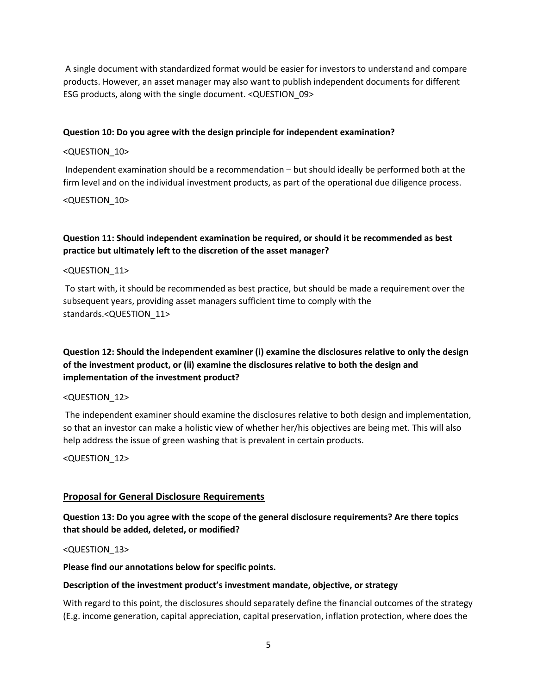A single document with standardized format would be easier for investors to understand and compare products. However, an asset manager may also want to publish independent documents for different ESG products, along with the single document. <QUESTION\_09>

### **Question 10: Do you agree with the design principle for independent examination?**

#### <QUESTION\_10>

Independent examination should be a recommendation – but should ideally be performed both at the firm level and on the individual investment products, as part of the operational due diligence process.

#### <QUESTION\_10>

## **Question 11: Should independent examination be required, or should it be recommended as best practice but ultimately left to the discretion of the asset manager?**

#### <QUESTION\_11>

To start with, it should be recommended as best practice, but should be made a requirement over the subsequent years, providing asset managers sufficient time to comply with the standards.<QUESTION\_11>

# **Question 12: Should the independent examiner (i) examine the disclosures relative to only the design of the investment product, or (ii) examine the disclosures relative to both the design and implementation of the investment product?**

#### <QUESTION\_12>

The independent examiner should examine the disclosures relative to both design and implementation, so that an investor can make a holistic view of whether her/his objectives are being met. This will also help address the issue of green washing that is prevalent in certain products.

#### <QUESTION\_12>

### **Proposal for General Disclosure Requirements**

**Question 13: Do you agree with the scope of the general disclosure requirements? Are there topics that should be added, deleted, or modified?**

#### <QUESTION\_13>

#### **Please find our annotations below for specific points.**

#### **Description of the investment product's investment mandate, objective, or strategy**

With regard to this point, the disclosures should separately define the financial outcomes of the strategy (E.g. income generation, capital appreciation, capital preservation, inflation protection, where does the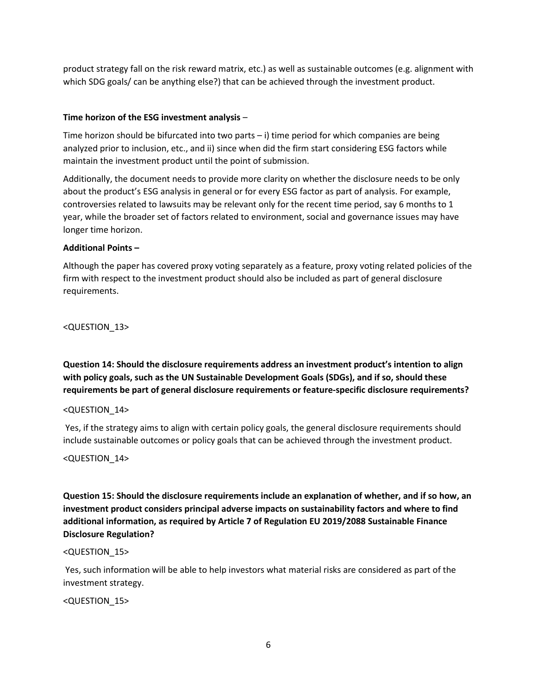product strategy fall on the risk reward matrix, etc.) as well as sustainable outcomes (e.g. alignment with which SDG goals/ can be anything else?) that can be achieved through the investment product.

### **Time horizon of the ESG investment analysis** –

Time horizon should be bifurcated into two parts – i) time period for which companies are being analyzed prior to inclusion, etc., and ii) since when did the firm start considering ESG factors while maintain the investment product until the point of submission.

Additionally, the document needs to provide more clarity on whether the disclosure needs to be only about the product's ESG analysis in general or for every ESG factor as part of analysis. For example, controversies related to lawsuits may be relevant only for the recent time period, say 6 months to 1 year, while the broader set of factors related to environment, social and governance issues may have longer time horizon.

### **Additional Points –**

Although the paper has covered proxy voting separately as a feature, proxy voting related policies of the firm with respect to the investment product should also be included as part of general disclosure requirements.

<QUESTION\_13>

**Question 14: Should the disclosure requirements address an investment product's intention to align with policy goals, such as the UN Sustainable Development Goals (SDGs), and if so, should these requirements be part of general disclosure requirements or feature-specific disclosure requirements?**

### <QUESTION\_14>

Yes, if the strategy aims to align with certain policy goals, the general disclosure requirements should include sustainable outcomes or policy goals that can be achieved through the investment product.

### <QUESTION\_14>

**Question 15: Should the disclosure requirements include an explanation of whether, and if so how, an investment product considers principal adverse impacts on sustainability factors and where to find additional information, as required by Article 7 of Regulation EU 2019/2088 Sustainable Finance Disclosure Regulation?**

### <QUESTION\_15>

Yes, such information will be able to help investors what material risks are considered as part of the investment strategy.

<QUESTION\_15>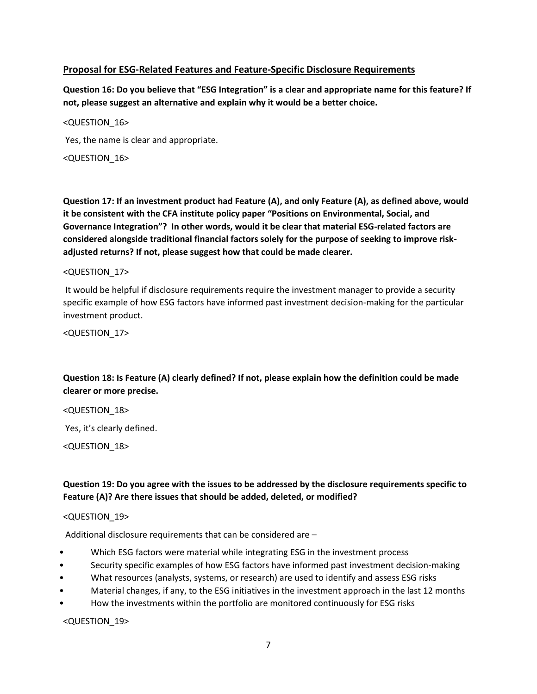## **Proposal for ESG-Related Features and Feature-Specific Disclosure Requirements**

**Question 16: Do you believe that "ESG Integration" is a clear and appropriate name for this feature? If not, please suggest an alternative and explain why it would be a better choice.**

<QUESTION\_16>

Yes, the name is clear and appropriate.

<QUESTION\_16>

**Question 17: If an investment product had Feature (A), and only Feature (A), as defined above, would it be consistent with the CFA institute policy paper "Positions on Environmental, Social, and Governance Integration"? In other words, would it be clear that material ESG-related factors are considered alongside traditional financial factors solely for the purpose of seeking to improve riskadjusted returns? If not, please suggest how that could be made clearer.** 

### <QUESTION\_17>

It would be helpful if disclosure requirements require the investment manager to provide a security specific example of how ESG factors have informed past investment decision-making for the particular investment product.

<QUESTION\_17>

**Question 18: Is Feature (A) clearly defined? If not, please explain how the definition could be made clearer or more precise.**

<QUESTION\_18>

Yes, it's clearly defined.

<QUESTION\_18>

# **Question 19: Do you agree with the issues to be addressed by the disclosure requirements specific to Feature (A)? Are there issues that should be added, deleted, or modified?**

<QUESTION\_19>

Additional disclosure requirements that can be considered are –

- Which ESG factors were material while integrating ESG in the investment process
- Security specific examples of how ESG factors have informed past investment decision-making
- What resources (analysts, systems, or research) are used to identify and assess ESG risks
- Material changes, if any, to the ESG initiatives in the investment approach in the last 12 months
- How the investments within the portfolio are monitored continuously for ESG risks

<QUESTION\_19>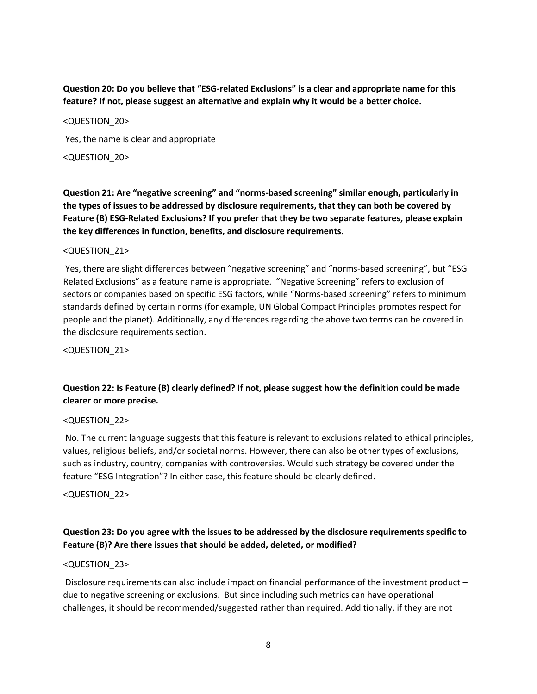**Question 20: Do you believe that "ESG-related Exclusions" is a clear and appropriate name for this feature? If not, please suggest an alternative and explain why it would be a better choice.**

#### <QUESTION\_20>

Yes, the name is clear and appropriate

<QUESTION\_20>

**Question 21: Are "negative screening" and "norms-based screening" similar enough, particularly in the types of issues to be addressed by disclosure requirements, that they can both be covered by Feature (B) ESG-Related Exclusions? If you prefer that they be two separate features, please explain the key differences in function, benefits, and disclosure requirements.** 

### <QUESTION\_21>

Yes, there are slight differences between "negative screening" and "norms-based screening", but "ESG Related Exclusions" as a feature name is appropriate. "Negative Screening" refers to exclusion of sectors or companies based on specific ESG factors, while "Norms-based screening" refers to minimum standards defined by certain norms (for example, UN Global Compact Principles promotes respect for people and the planet). Additionally, any differences regarding the above two terms can be covered in the disclosure requirements section.

<QUESTION\_21>

# **Question 22: Is Feature (B) clearly defined? If not, please suggest how the definition could be made clearer or more precise.**

### <QUESTION\_22>

No. The current language suggests that this feature is relevant to exclusions related to ethical principles, values, religious beliefs, and/or societal norms. However, there can also be other types of exclusions, such as industry, country, companies with controversies. Would such strategy be covered under the feature "ESG Integration"? In either case, this feature should be clearly defined.

<QUESTION\_22>

# **Question 23: Do you agree with the issues to be addressed by the disclosure requirements specific to Feature (B)? Are there issues that should be added, deleted, or modified?**

### <QUESTION\_23>

Disclosure requirements can also include impact on financial performance of the investment product – due to negative screening or exclusions. But since including such metrics can have operational challenges, it should be recommended/suggested rather than required. Additionally, if they are not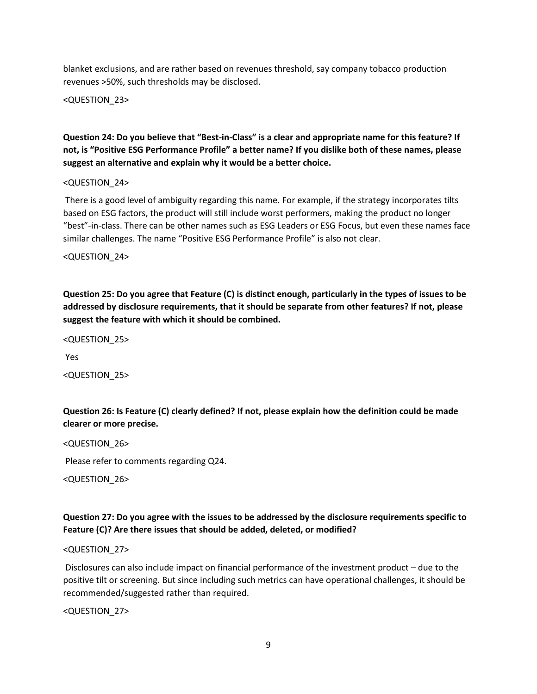blanket exclusions, and are rather based on revenues threshold, say company tobacco production revenues >50%, such thresholds may be disclosed.

<QUESTION\_23>

**Question 24: Do you believe that "Best-in-Class" is a clear and appropriate name for this feature? If not, is "Positive ESG Performance Profile" a better name? If you dislike both of these names, please suggest an alternative and explain why it would be a better choice.**

#### <QUESTION\_24>

There is a good level of ambiguity regarding this name. For example, if the strategy incorporates tilts based on ESG factors, the product will still include worst performers, making the product no longer "best"-in-class. There can be other names such as ESG Leaders or ESG Focus, but even these names face similar challenges. The name "Positive ESG Performance Profile" is also not clear.

<QUESTION\_24>

**Question 25: Do you agree that Feature (C) is distinct enough, particularly in the types of issues to be addressed by disclosure requirements, that it should be separate from other features? If not, please suggest the feature with which it should be combined.**

<QUESTION\_25>

Yes

<QUESTION\_25>

# **Question 26: Is Feature (C) clearly defined? If not, please explain how the definition could be made clearer or more precise.**

<QUESTION\_26> Please refer to comments regarding Q24. <QUESTION\_26>

### **Question 27: Do you agree with the issues to be addressed by the disclosure requirements specific to Feature (C)? Are there issues that should be added, deleted, or modified?**

#### <QUESTION\_27>

Disclosures can also include impact on financial performance of the investment product – due to the positive tilt or screening. But since including such metrics can have operational challenges, it should be recommended/suggested rather than required.

<QUESTION\_27>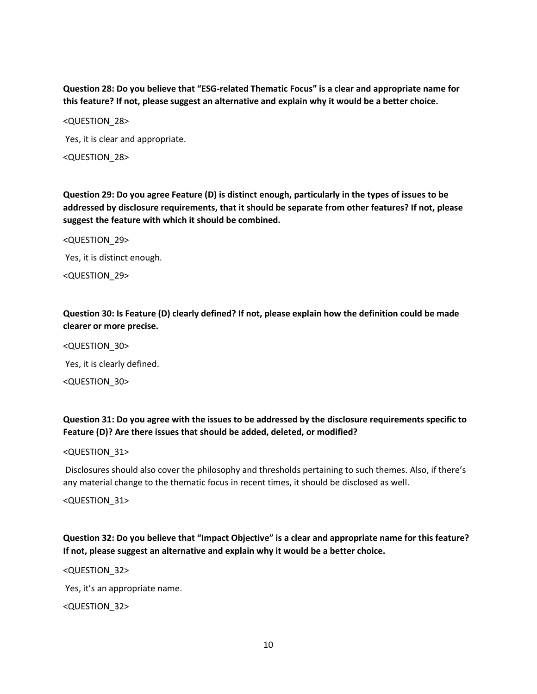**Question 28: Do you believe that "ESG-related Thematic Focus" is a clear and appropriate name for this feature? If not, please suggest an alternative and explain why it would be a better choice.**

<QUESTION\_28> Yes, it is clear and appropriate. <QUESTION\_28>

**Question 29: Do you agree Feature (D) is distinct enough, particularly in the types of issues to be addressed by disclosure requirements, that it should be separate from other features? If not, please suggest the feature with which it should be combined.**

<QUESTION\_29> Yes, it is distinct enough. <QUESTION\_29>

**Question 30: Is Feature (D) clearly defined? If not, please explain how the definition could be made clearer or more precise.**

<QUESTION\_30> Yes, it is clearly defined. <QUESTION\_30>

**Question 31: Do you agree with the issues to be addressed by the disclosure requirements specific to Feature (D)? Are there issues that should be added, deleted, or modified?**

<QUESTION\_31>

Disclosures should also cover the philosophy and thresholds pertaining to such themes. Also, if there's any material change to the thematic focus in recent times, it should be disclosed as well.

<QUESTION\_31>

**Question 32: Do you believe that "Impact Objective" is a clear and appropriate name for this feature? If not, please suggest an alternative and explain why it would be a better choice.**

<QUESTION\_32>

Yes, it's an appropriate name.

<QUESTION\_32>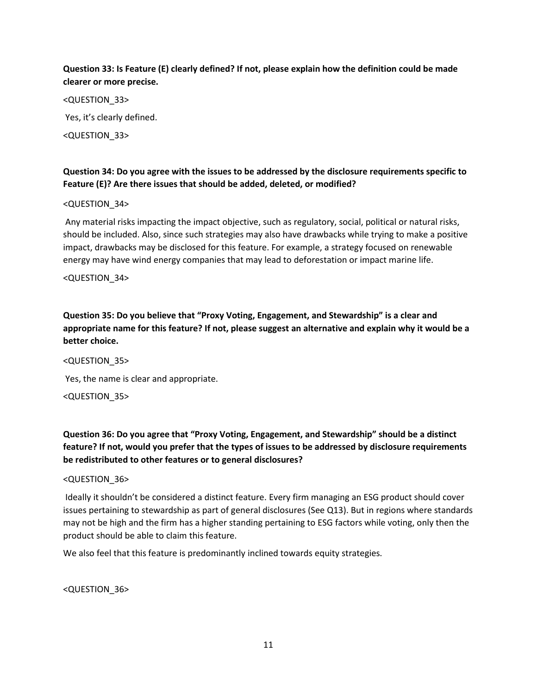### **Question 33: Is Feature (E) clearly defined? If not, please explain how the definition could be made clearer or more precise.**

<QUESTION\_33>

Yes, it's clearly defined.

<QUESTION\_33>

# **Question 34: Do you agree with the issues to be addressed by the disclosure requirements specific to Feature (E)? Are there issues that should be added, deleted, or modified?**

### <QUESTION\_34>

Any material risks impacting the impact objective, such as regulatory, social, political or natural risks, should be included. Also, since such strategies may also have drawbacks while trying to make a positive impact, drawbacks may be disclosed for this feature. For example, a strategy focused on renewable energy may have wind energy companies that may lead to deforestation or impact marine life.

### <QUESTION\_34>

**Question 35: Do you believe that "Proxy Voting, Engagement, and Stewardship" is a clear and appropriate name for this feature? If not, please suggest an alternative and explain why it would be a better choice.**

### <QUESTION\_35>

Yes, the name is clear and appropriate.

<QUESTION\_35>

**Question 36: Do you agree that "Proxy Voting, Engagement, and Stewardship" should be a distinct feature? If not, would you prefer that the types of issues to be addressed by disclosure requirements be redistributed to other features or to general disclosures?**

### <QUESTION\_36>

Ideally it shouldn't be considered a distinct feature. Every firm managing an ESG product should cover issues pertaining to stewardship as part of general disclosures (See Q13). But in regions where standards may not be high and the firm has a higher standing pertaining to ESG factors while voting, only then the product should be able to claim this feature.

We also feel that this feature is predominantly inclined towards equity strategies.

<QUESTION\_36>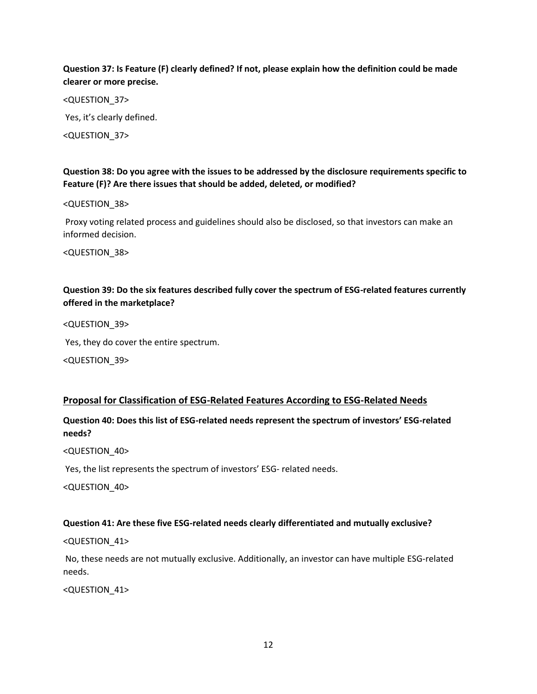### **Question 37: Is Feature (F) clearly defined? If not, please explain how the definition could be made clearer or more precise.**

<QUESTION\_37>

Yes, it's clearly defined.

<QUESTION\_37>

**Question 38: Do you agree with the issues to be addressed by the disclosure requirements specific to Feature (F)? Are there issues that should be added, deleted, or modified?**

<QUESTION\_38>

Proxy voting related process and guidelines should also be disclosed, so that investors can make an informed decision.

<QUESTION\_38>

# **Question 39: Do the six features described fully cover the spectrum of ESG-related features currently offered in the marketplace?**

<QUESTION\_39>

Yes, they do cover the entire spectrum.

<QUESTION\_39>

# **Proposal for Classification of ESG-Related Features According to ESG-Related Needs**

# **Question 40: Does this list of ESG-related needs represent the spectrum of investors' ESG-related needs?**

<QUESTION\_40>

Yes, the list represents the spectrum of investors' ESG- related needs.

<QUESTION\_40>

# **Question 41: Are these five ESG-related needs clearly differentiated and mutually exclusive?**

<QUESTION\_41>

No, these needs are not mutually exclusive. Additionally, an investor can have multiple ESG-related needs.

<QUESTION\_41>